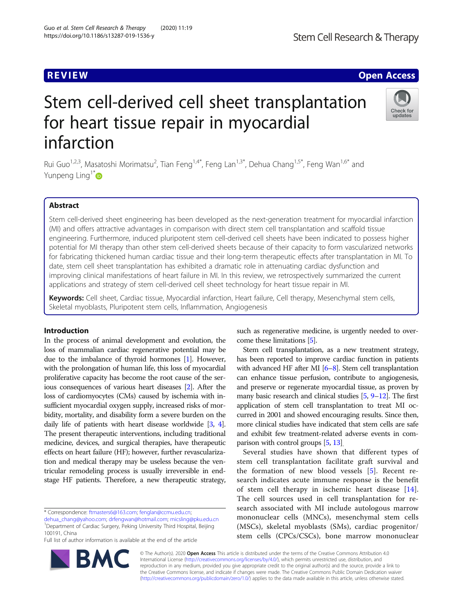# **REVIEW ACCESS REVIEW CONSUMING THE CONSUMING TENS**

# Stem cell-derived cell sheet transplantation for heart tissue repair in myocardial infarction

Rui Guo<sup>1,2,3</sup>, Masatoshi Morimatsu<sup>2</sup>, Tian Feng<sup>1,4\*</sup>, Feng Lan<sup>1,3\*</sup>, Dehua Chang<sup>1,5\*</sup>, Feng Wan<sup>1,6\*</sup> and Yunpeng Ling<sup>1\*</sup>

# Abstract

Stem cell-derived sheet engineering has been developed as the next-generation treatment for myocardial infarction (MI) and offers attractive advantages in comparison with direct stem cell transplantation and scaffold tissue engineering. Furthermore, induced pluripotent stem cell-derived cell sheets have been indicated to possess higher potential for MI therapy than other stem cell-derived sheets because of their capacity to form vascularized networks for fabricating thickened human cardiac tissue and their long-term therapeutic effects after transplantation in MI. To date, stem cell sheet transplantation has exhibited a dramatic role in attenuating cardiac dysfunction and improving clinical manifestations of heart failure in MI. In this review, we retrospectively summarized the current applications and strategy of stem cell-derived cell sheet technology for heart tissue repair in MI.

Keywords: Cell sheet, Cardiac tissue, Myocardial infarction, Heart failure, Cell therapy, Mesenchymal stem cells, Skeletal myoblasts, Pluripotent stem cells, Inflammation, Angiogenesis

## Introduction

In the process of animal development and evolution, the loss of mammalian cardiac regenerative potential may be due to the imbalance of thyroid hormones [\[1](#page-10-0)]. However, with the prolongation of human life, this loss of myocardial proliferative capacity has become the root cause of the serious consequences of various heart diseases [\[2\]](#page-10-0). After the loss of cardiomyocytes (CMs) caused by ischemia with insufficient myocardial oxygen supply, increased risks of morbidity, mortality, and disability form a severe burden on the daily life of patients with heart disease worldwide [\[3](#page-10-0), [4](#page-10-0)]. The present therapeutic interventions, including traditional medicine, devices, and surgical therapies, have therapeutic effects on heart failure (HF); however, further revascularization and medical therapy may be useless because the ventricular remodeling process is usually irreversible in endstage HF patients. Therefore, a new therapeutic strategy,

\* Correspondence: [ftmasters6@163.com](mailto:ftmasters6@163.com); [fenglan@ccmu.edu.cn](mailto:fenglan@ccmu.edu.cn);

Full list of author information is available at the end of the article

such as regenerative medicine, is urgently needed to overcome these limitations [\[5](#page-10-0)].

Stem cell transplantation, as a new treatment strategy, has been reported to improve cardiac function in patients with advanced HF after MI  $[6-8]$  $[6-8]$  $[6-8]$ . Stem cell transplantation can enhance tissue perfusion, contribute to angiogenesis, and preserve or regenerate myocardial tissue, as proven by many basic research and clinical studies [\[5](#page-10-0), [9](#page-10-0)–[12\]](#page-10-0). The first application of stem cell transplantation to treat MI occurred in 2001 and showed encouraging results. Since then, more clinical studies have indicated that stem cells are safe and exhibit few treatment-related adverse events in comparison with control groups [\[5,](#page-10-0) [13\]](#page-10-0).

Several studies have shown that different types of stem cell transplantation facilitate graft survival and the formation of new blood vessels [[5\]](#page-10-0). Recent research indicates acute immune response is the benefit of stem cell therapy in ischemic heart disease [\[14](#page-10-0)]. The cell sources used in cell transplantation for research associated with MI include autologous marrow mononuclear cells (MNCs), mesenchymal stem cells (MSCs), skeletal myoblasts (SMs), cardiac progenitor/ stem cells (CPCs/CSCs), bone marrow mononuclear

© The Author(s). 2020 **Open Access** This article is distributed under the terms of the Creative Commons Attribution 4.0 International License [\(http://creativecommons.org/licenses/by/4.0/](http://creativecommons.org/licenses/by/4.0/)), which permits unrestricted use, distribution, and reproduction in any medium, provided you give appropriate credit to the original author(s) and the source, provide a link to the Creative Commons license, and indicate if changes were made. The Creative Commons Public Domain Dedication waiver [\(http://creativecommons.org/publicdomain/zero/1.0/](http://creativecommons.org/publicdomain/zero/1.0/)) applies to the data made available in this article, unless otherwise stated.





[dehua\\_chang@yahoo.com;](mailto:dehua_chang@yahoo.com) [drfengwan@hotmail.com](mailto:drfengwan@hotmail.com); [micsling@pku.edu.cn](mailto:micsling@pku.edu.cn) <sup>1</sup> <sup>1</sup>Department of Cardiac Surgery, Peking University Third Hospital, Beijing 100191, China

Guo et al. Stem Cell Research & Therapy (2020) 11:19 https://doi.org/10.1186/s13287-019-1536-y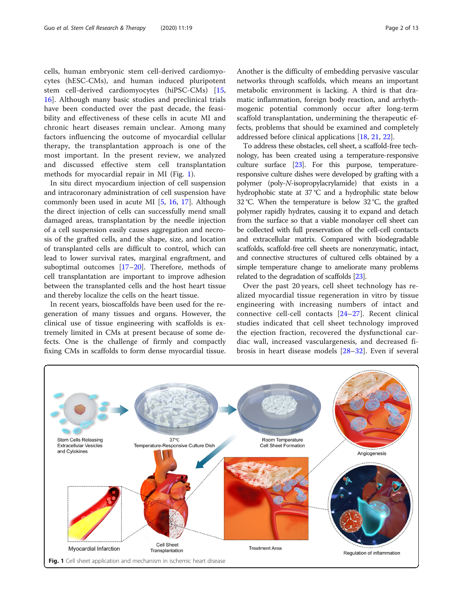cells, human embryonic stem cell-derived cardiomyocytes (hESC-CMs), and human induced pluripotent stem cell-derived cardiomyocytes (hiPSC-CMs) [\[15](#page-10-0), [16\]](#page-11-0). Although many basic studies and preclinical trials have been conducted over the past decade, the feasibility and effectiveness of these cells in acute MI and chronic heart diseases remain unclear. Among many factors influencing the outcome of myocardial cellular therapy, the transplantation approach is one of the most important. In the present review, we analyzed and discussed effective stem cell transplantation methods for myocardial repair in MI (Fig. 1).

In situ direct myocardium injection of cell suspension and intracoronary administration of cell suspension have commonly been used in acute MI [\[5](#page-10-0), [16](#page-11-0), [17\]](#page-11-0). Although the direct injection of cells can successfully mend small damaged areas, transplantation by the needle injection of a cell suspension easily causes aggregation and necrosis of the grafted cells, and the shape, size, and location of transplanted cells are difficult to control, which can lead to lower survival rates, marginal engraftment, and suboptimal outcomes [\[17](#page-11-0)–[20\]](#page-11-0). Therefore, methods of cell transplantation are important to improve adhesion between the transplanted cells and the host heart tissue and thereby localize the cells on the heart tissue.

In recent years, bioscaffolds have been used for the regeneration of many tissues and organs. However, the clinical use of tissue engineering with scaffolds is extremely limited in CMs at present because of some defects. One is the challenge of firmly and compactly fixing CMs in scaffolds to form dense myocardial tissue. Another is the difficulty of embedding pervasive vascular networks through scaffolds, which means an important metabolic environment is lacking. A third is that dramatic inflammation, foreign body reaction, and arrhythmogenic potential commonly occur after long-term scaffold transplantation, undermining the therapeutic effects, problems that should be examined and completely addressed before clinical applications [[18,](#page-11-0) [21,](#page-11-0) [22\]](#page-11-0).

To address these obstacles, cell sheet, a scaffold-free technology, has been created using a temperature-responsive culture surface [\[23\]](#page-11-0). For this purpose, temperatureresponsive culture dishes were developed by grafting with a polymer (poly-N-isopropylacrylamide) that exists in a hydrophobic state at 37 °C and a hydrophilic state below 32 °C. When the temperature is below 32 °C, the grafted polymer rapidly hydrates, causing it to expand and detach from the surface so that a viable monolayer cell sheet can be collected with full preservation of the cell-cell contacts and extracellular matrix. Compared with biodegradable scaffolds, scaffold-free cell sheets are nonenzymatic, intact, and connective structures of cultured cells obtained by a simple temperature change to ameliorate many problems related to the degradation of scaffolds [\[23\]](#page-11-0).

Over the past 20 years, cell sheet technology has realized myocardial tissue regeneration in vitro by tissue engineering with increasing numbers of intact and connective cell-cell contacts [\[24](#page-11-0)–[27](#page-11-0)]. Recent clinical studies indicated that cell sheet technology improved the ejection fraction, recovered the dysfunctional cardiac wall, increased vasculargenesis, and decreased fibrosis in heart disease models [[28](#page-11-0)–[32](#page-11-0)]. Even if several

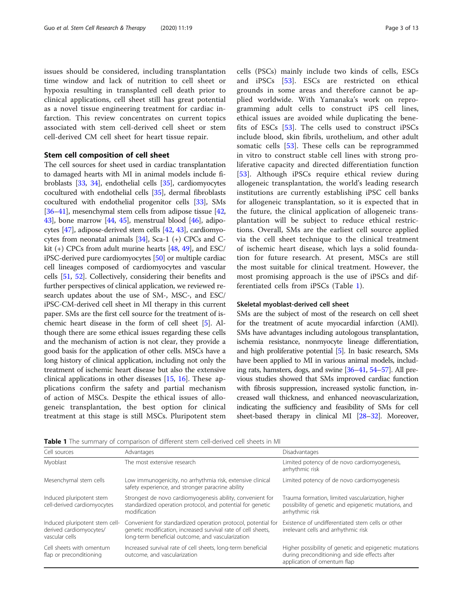issues should be considered, including transplantation time window and lack of nutrition to cell sheet or hypoxia resulting in transplanted cell death prior to clinical applications, cell sheet still has great potential as a novel tissue engineering treatment for cardiac infarction. This review concentrates on current topics associated with stem cell-derived cell sheet or stem cell-derived CM cell sheet for heart tissue repair.

# Stem cell composition of cell sheet

The cell sources for sheet used in cardiac transplantation to damaged hearts with MI in animal models include fibroblasts [\[33,](#page-11-0) [34](#page-11-0)], endothelial cells [\[35\]](#page-11-0), cardiomyocytes cocultured with endothelial cells [\[35\]](#page-11-0), dermal fibroblasts cocultured with endothelial progenitor cells [\[33\]](#page-11-0), SMs [[36](#page-11-0)–[41\]](#page-11-0), mesenchymal stem cells from adipose tissue [[42](#page-11-0), [43](#page-11-0)], bone marrow  $[44, 45]$  $[44, 45]$  $[44, 45]$  $[44, 45]$  $[44, 45]$ , menstrual blood  $[46]$ , adipocytes [[47](#page-11-0)], adipose-derived stem cells [\[42,](#page-11-0) [43\]](#page-11-0), cardiomyocytes from neonatal animals [[34](#page-11-0)], Sca-1 (+) CPCs and Ckit (+) CPCs from adult murine hearts [\[48,](#page-11-0) [49\]](#page-11-0), and ESC/ iPSC-derived pure cardiomyocytes [[50](#page-11-0)] or multiple cardiac cell lineages composed of cardiomyocytes and vascular cells [\[51,](#page-11-0) [52](#page-11-0)]. Collectively, considering their benefits and further perspectives of clinical application, we reviewed research updates about the use of SM-, MSC-, and ESC/ iPSC-CM-derived cell sheet in MI therapy in this current paper. SMs are the first cell source for the treatment of ischemic heart disease in the form of cell sheet [[5\]](#page-10-0). Although there are some ethical issues regarding these cells and the mechanism of action is not clear, they provide a good basis for the application of other cells. MSCs have a long history of clinical application, including not only the treatment of ischemic heart disease but also the extensive clinical applications in other diseases [\[15,](#page-10-0) [16\]](#page-11-0). These applications confirm the safety and partial mechanism of action of MSCs. Despite the ethical issues of allogeneic transplantation, the best option for clinical treatment at this stage is still MSCs. Pluripotent stem cells (PSCs) mainly include two kinds of cells, ESCs and iPSCs [[53\]](#page-11-0). ESCs are restricted on ethical grounds in some areas and therefore cannot be applied worldwide. With Yamanaka's work on reprogramming adult cells to construct iPS cell lines, ethical issues are avoided while duplicating the benefits of ESCs [[53](#page-11-0)]. The cells used to construct iPSCs include blood, skin fibrils, urothelium, and other adult somatic cells [[53\]](#page-11-0). These cells can be reprogrammed in vitro to construct stable cell lines with strong proliferative capacity and directed differentiation function [[53](#page-11-0)]. Although iPSCs require ethical review during allogeneic transplantation, the world's leading research institutions are currently establishing iPSC cell banks for allogeneic transplantation, so it is expected that in the future, the clinical application of allogeneic transplantation will be subject to reduce ethical restrictions. Overall, SMs are the earliest cell source applied via the cell sheet technique to the clinical treatment of ischemic heart disease, which lays a solid foundation for future research. At present, MSCs are still the most suitable for clinical treatment. However, the most promising approach is the use of iPSCs and differentiated cells from iPSCs (Table 1).

#### Skeletal myoblast-derived cell sheet

SMs are the subject of most of the research on cell sheet for the treatment of acute myocardial infarction (AMI). SMs have advantages including autologous transplantation, ischemia resistance, nonmyocyte lineage differentiation, and high proliferative potential [[5](#page-10-0)]. In basic research, SMs have been applied to MI in various animal models, including rats, hamsters, dogs, and swine [\[36](#page-11-0)–[41,](#page-11-0) [54](#page-11-0)–[57](#page-11-0)]. All previous studies showed that SMs improved cardiac function with fibrosis suppression, increased systolic function, increased wall thickness, and enhanced neovascularization, indicating the sufficiency and feasibility of SMs for cell sheet-based therapy in clinical MI [\[28](#page-11-0)–[32\]](#page-11-0). Moreover,

Table 1 The summary of comparison of different stem cell-derived cell sheets in MI

| Cell sources                                                                | Advantages                                                                                                                                                                          | Disadvantages                                                                                                                          |
|-----------------------------------------------------------------------------|-------------------------------------------------------------------------------------------------------------------------------------------------------------------------------------|----------------------------------------------------------------------------------------------------------------------------------------|
| Myoblast                                                                    | The most extensive research                                                                                                                                                         | Limited potency of de novo cardiomyogenesis,<br>arrhythmic risk                                                                        |
| Mesenchymal stem cells                                                      | Low immunogenicity, no arrhythmia risk, extensive clinical<br>safety experience, and stronger paracrine ability                                                                     | Limited potency of de novo cardiomyogenesis                                                                                            |
| Induced pluripotent stem<br>cell-derived cardiomyocytes                     | Strongest de novo cardiomyogenesis ability, convenient for<br>standardized operation protocol, and potential for genetic<br>modification                                            | Trauma formation, limited vascularization, higher<br>possibility of genetic and epigenetic mutations, and<br>arrhythmic risk           |
| Induced pluripotent stem cell-<br>derived cardiomyocytes/<br>vascular cells | Convenient for standardized operation protocol, potential for<br>genetic modification, increased survival rate of cell sheets,<br>long-term beneficial outcome, and vascularization | Existence of undifferentiated stem cells or other<br>irrelevant cells and arrhythmic risk                                              |
| Cell sheets with omentum<br>flap or preconditioning                         | Increased survival rate of cell sheets, long-term beneficial<br>outcome, and vascularization                                                                                        | Higher possibility of genetic and epigenetic mutations<br>during preconditioning and side effects after<br>application of omentum flap |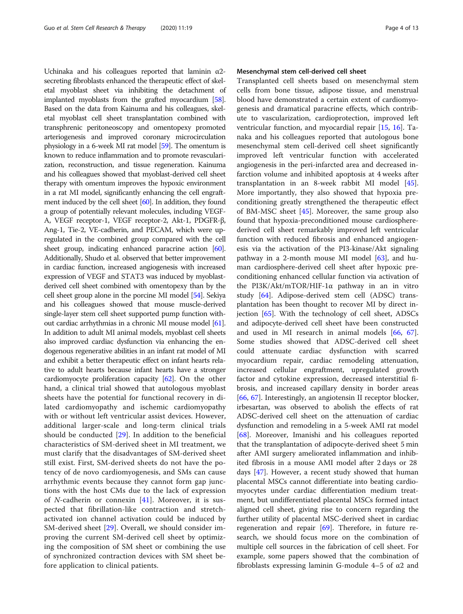Uchinaka and his colleagues reported that laminin  $\alpha$ 2secreting fibroblasts enhanced the therapeutic effect of skeletal myoblast sheet via inhibiting the detachment of implanted myoblasts from the grafted myocardium [\[58](#page-11-0)]. Based on the data from Kainuma and his colleagues, skeletal myoblast cell sheet transplantation combined with transphrenic peritoneoscopy and omentopexy promoted arteriogenesis and improved coronary microcirculation physiology in a 6-week MI rat model [\[59\]](#page-12-0). The omentum is known to reduce inflammation and to promote revascularization, reconstruction, and tissue regeneration. Kainuma and his colleagues showed that myoblast-derived cell sheet therapy with omentum improves the hypoxic environment in a rat MI model, significantly enhancing the cell engraftment induced by the cell sheet [\[60](#page-12-0)]. In addition, they found a group of potentially relevant molecules, including VEGF-A, VEGF receptor-1, VEGF receptor-2, Akt-1, PDGFR-β, Ang-1, Tie-2, VE-cadherin, and PECAM, which were upregulated in the combined group compared with the cell sheet group, indicating enhanced paracrine action [\[60](#page-12-0)]. Additionally, Shudo et al. observed that better improvement in cardiac function, increased angiogenesis with increased expression of VEGF and STAT3 was induced by myoblastderived cell sheet combined with omentopexy than by the cell sheet group alone in the porcine MI model [[54](#page-11-0)]. Sekiya and his colleagues showed that mouse muscle-derived single-layer stem cell sheet supported pump function without cardiac arrhythmias in a chronic MI mouse model [\[61](#page-12-0)]. In addition to adult MI animal models, myoblast cell sheets also improved cardiac dysfunction via enhancing the endogenous regenerative abilities in an infant rat model of MI and exhibit a better therapeutic effect on infant hearts relative to adult hearts because infant hearts have a stronger cardiomyocyte proliferation capacity [[62](#page-12-0)]. On the other hand, a clinical trial showed that autologous myoblast sheets have the potential for functional recovery in dilated cardiomyopathy and ischemic cardiomyopathy with or without left ventricular assist devices. However, additional larger-scale and long-term clinical trials should be conducted [\[29](#page-11-0)]. In addition to the beneficial characteristics of SM-derived sheet in MI treatment, we must clarify that the disadvantages of SM-derived sheet still exist. First, SM-derived sheets do not have the potency of de novo cardiomyogenesis, and SMs can cause arrhythmic events because they cannot form gap junctions with the host CMs due to the lack of expression of N-cadherin or connexin [[41\]](#page-11-0). Moreover, it is suspected that fibrillation-like contraction and stretchactivated ion channel activation could be induced by SM-derived sheet [[29\]](#page-11-0). Overall, we should consider improving the current SM-derived cell sheet by optimizing the composition of SM sheet or combining the use of synchronized contraction devices with SM sheet before application to clinical patients.

#### Mesenchymal stem cell-derived cell sheet

Transplanted cell sheets based on mesenchymal stem cells from bone tissue, adipose tissue, and menstrual blood have demonstrated a certain extent of cardiomyogenesis and dramatical paracrine effects, which contribute to vascularization, cardioprotection, improved left ventricular function, and myocardial repair [[15,](#page-10-0) [16](#page-11-0)]. Tanaka and his colleagues reported that autologous bone mesenchymal stem cell-derived cell sheet significantly improved left ventricular function with accelerated angiogenesis in the peri-infarcted area and decreased infarction volume and inhibited apoptosis at 4 weeks after transplantation in an 8-week rabbit MI model [\[45](#page-11-0)]. More importantly, they also showed that hypoxia preconditioning greatly strengthened the therapeutic effect of BM-MSC sheet [\[45\]](#page-11-0). Moreover, the same group also found that hypoxia-preconditioned mouse cardiospherederived cell sheet remarkably improved left ventricular function with reduced fibrosis and enhanced angiogenesis via the activation of the PI3-kinase/Akt signaling pathway in a 2-month mouse MI model  $[63]$  $[63]$ , and human cardiosphere-derived cell sheet after hypoxic preconditioning enhanced cellular function via activation of the PI3K/Akt/mTOR/HIF-1α pathway in an in vitro study [[64\]](#page-12-0). Adipose-derived stem cell (ADSC) transplantation has been thought to recover MI by direct injection [[65\]](#page-12-0). With the technology of cell sheet, ADSCs and adipocyte-derived cell sheet have been constructed and used in MI research in animal models [[66,](#page-12-0) [67](#page-12-0)]. Some studies showed that ADSC-derived cell sheet could attenuate cardiac dysfunction with scarred myocardium repair, cardiac remodeling attenuation, increased cellular engraftment, upregulated growth factor and cytokine expression, decreased interstitial fibrosis, and increased capillary density in border areas [[66,](#page-12-0) [67\]](#page-12-0). Interestingly, an angiotensin II receptor blocker, irbesartan, was observed to abolish the effects of rat ADSC-derived cell sheet on the attenuation of cardiac dysfunction and remodeling in a 5-week AMI rat model [[68\]](#page-12-0). Moreover, Imanishi and his colleagues reported that the transplantation of adipocyte-derived sheet 5 min after AMI surgery ameliorated inflammation and inhibited fibrosis in a mouse AMI model after 2 days or 28 days [[47](#page-11-0)]. However, a recent study showed that human placental MSCs cannot differentiate into beating cardiomyocytes under cardiac differentiation medium treatment, but undifferentiated placental MSCs formed intact aligned cell sheet, giving rise to concern regarding the further utility of placental MSC-derived sheet in cardiac regeneration and repair [[69](#page-12-0)]. Therefore, in future research, we should focus more on the combination of multiple cell sources in the fabrication of cell sheet. For example, some papers showed that the combination of fibroblasts expressing laminin G-module 4–5 of  $\alpha$ 2 and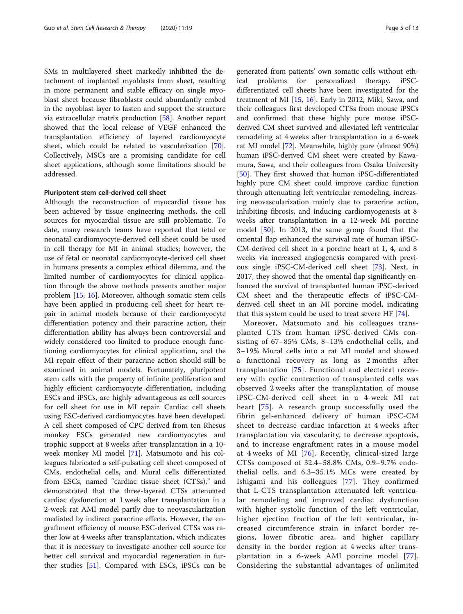SMs in multilayered sheet markedly inhibited the detachment of implanted myoblasts from sheet, resulting in more permanent and stable efficacy on single myoblast sheet because fibroblasts could abundantly embed in the myoblast layer to fasten and support the structure via extracellular matrix production [[58](#page-11-0)]. Another report showed that the local release of VEGF enhanced the transplantation efficiency of layered cardiomyocyte sheet, which could be related to vascularization [\[70](#page-12-0)]. Collectively, MSCs are a promising candidate for cell sheet applications, although some limitations should be addressed.

#### Pluripotent stem cell-derived cell sheet

Although the reconstruction of myocardial tissue has been achieved by tissue engineering methods, the cell sources for myocardial tissue are still problematic. To date, many research teams have reported that fetal or neonatal cardiomyocyte-derived cell sheet could be used in cell therapy for MI in animal studies; however, the use of fetal or neonatal cardiomyocyte-derived cell sheet in humans presents a complex ethical dilemma, and the limited number of cardiomyocytes for clinical application through the above methods presents another major problem [\[15](#page-10-0), [16](#page-11-0)]. Moreover, although somatic stem cells have been applied in producing cell sheet for heart repair in animal models because of their cardiomyocyte differentiation potency and their paracrine action, their differentiation ability has always been controversial and widely considered too limited to produce enough functioning cardiomyocytes for clinical application, and the MI repair effect of their paracrine action should still be examined in animal models. Fortunately, pluripotent stem cells with the property of infinite proliferation and highly efficient cardiomyocyte differentiation, including ESCs and iPSCs, are highly advantageous as cell sources for cell sheet for use in MI repair. Cardiac cell sheets using ESC-derived cardiomyocytes have been developed. A cell sheet composed of CPC derived from ten Rhesus monkey ESCs generated new cardiomyocytes and trophic support at 8 weeks after transplantation in a 10 week monkey MI model [\[71](#page-12-0)]. Matsumoto and his colleagues fabricated a self-pulsating cell sheet composed of CMs, endothelial cells, and Mural cells differentiated from ESCs, named "cardiac tissue sheet (CTSs)," and demonstrated that the three-layered CTSs attenuated cardiac dysfunction at 1 week after transplantation in a 2-week rat AMI model partly due to neovascularization mediated by indirect paracrine effects. However, the engraftment efficiency of mouse ESC-derived CTSs was rather low at 4 weeks after transplantation, which indicates that it is necessary to investigate another cell source for better cell survival and myocardial regeneration in further studies [[51](#page-11-0)]. Compared with ESCs, iPSCs can be

generated from patients' own somatic cells without ethical problems for personalized therapy. iPSCdifferentiated cell sheets have been investigated for the treatment of MI  $[15, 16]$  $[15, 16]$  $[15, 16]$ . Early in 2012, Miki, Sawa, and their colleagues first developed CTSs from mouse iPSCs and confirmed that these highly pure mouse iPSCderived CM sheet survived and alleviated left ventricular remodeling at 4 weeks after transplantation in a 6-week rat MI model [[72](#page-12-0)]. Meanwhile, highly pure (almost 90%) human iPSC-derived CM sheet were created by Kawamura, Sawa, and their colleagues from Osaka University [[50\]](#page-11-0). They first showed that human iPSC-differentiated highly pure CM sheet could improve cardiac function through attenuating left ventricular remodeling, increasing neovascularization mainly due to paracrine action, inhibiting fibrosis, and inducing cardiomyogenesis at 8 weeks after transplantation in a 12-week MI porcine model [[50\]](#page-11-0). In 2013, the same group found that the omental flap enhanced the survival rate of human iPSC-CM-derived cell sheet in a porcine heart at 1, 4, and 8 weeks via increased angiogenesis compared with previous single iPSC-CM-derived cell sheet [[73\]](#page-12-0). Next, in 2017, they showed that the omental flap significantly enhanced the survival of transplanted human iPSC-derived CM sheet and the therapeutic effects of iPSC-CMderived cell sheet in an MI porcine model, indicating that this system could be used to treat severe HF [[74](#page-12-0)].

Moreover, Matsumoto and his colleagues transplanted CTS from human iPSC-derived CMs consisting of 67–85% CMs, 8–13% endothelial cells, and 3–19% Mural cells into a rat MI model and showed a functional recovery as long as 2 months after transplantation [[75](#page-12-0)]. Functional and electrical recovery with cyclic contraction of transplanted cells was observed 2 weeks after the transplantation of mouse iPSC-CM-derived cell sheet in a 4-week MI rat heart [[75](#page-12-0)]. A research group successfully used the fibrin gel-enhanced delivery of human iPSC-CM sheet to decrease cardiac infarction at 4 weeks after transplantation via vascularity, to decrease apoptosis, and to increase engraftment rates in a mouse model at 4 weeks of MI [[76](#page-12-0)]. Recently, clinical-sized large CTSs composed of 32.4–58.8% CMs, 0.9–9.7% endothelial cells, and 6.3–35.1% MCs were created by Ishigami and his colleagues [[77](#page-12-0)]. They confirmed that L-CTS transplantation attenuated left ventricular remodeling and improved cardiac dysfunction with higher systolic function of the left ventricular, higher ejection fraction of the left ventricular, increased circumference strain in infarct border regions, lower fibrotic area, and higher capillary density in the border region at 4 weeks after transplantation in a 6-week AMI porcine model [[77](#page-12-0)]. Considering the substantial advantages of unlimited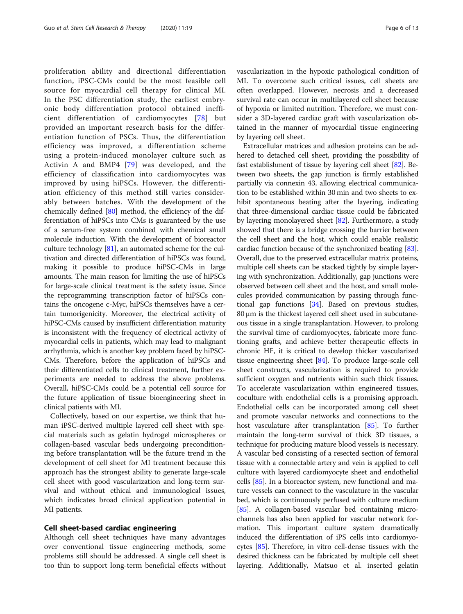proliferation ability and directional differentiation function, iPSC-CMs could be the most feasible cell source for myocardial cell therapy for clinical MI. In the PSC differentiation study, the earliest embryonic body differentiation protocol obtained inefficient differentiation of cardiomyocytes [[78](#page-12-0)] but provided an important research basis for the differentiation function of PSCs. Thus, the differentiation efficiency was improved, a differentiation scheme using a protein-induced monolayer culture such as Activin A and BMP4 [[79\]](#page-12-0) was developed, and the efficiency of classification into cardiomyocytes was improved by using hiPSCs. However, the differentiation efficiency of this method still varies considerably between batches. With the development of the chemically defined [[80](#page-12-0)] method, the efficiency of the differentiation of hiPSCs into CMs is guaranteed by the use of a serum-free system combined with chemical small molecule induction. With the development of bioreactor culture technology [\[81\]](#page-12-0), an automated scheme for the cultivation and directed differentiation of hiPSCs was found, making it possible to produce hiPSC-CMs in large amounts. The main reason for limiting the use of hiPSCs for large-scale clinical treatment is the safety issue. Since the reprogramming transcription factor of hiPSCs contains the oncogene c-Myc, hiPSCs themselves have a certain tumorigenicity. Moreover, the electrical activity of hiPSC-CMs caused by insufficient differentiation maturity is inconsistent with the frequency of electrical activity of myocardial cells in patients, which may lead to malignant arrhythmia, which is another key problem faced by hiPSC-CMs. Therefore, before the application of hiPSCs and their differentiated cells to clinical treatment, further experiments are needed to address the above problems. Overall, hiPSC-CMs could be a potential cell source for the future application of tissue bioengineering sheet in clinical patients with MI.

Collectively, based on our expertise, we think that human iPSC-derived multiple layered cell sheet with special materials such as gelatin hydrogel microspheres or collagen-based vascular beds undergoing preconditioning before transplantation will be the future trend in the development of cell sheet for MI treatment because this approach has the strongest ability to generate large-scale cell sheet with good vascularization and long-term survival and without ethical and immunological issues, which indicates broad clinical application potential in MI patients.

## Cell sheet-based cardiac engineering

Although cell sheet techniques have many advantages over conventional tissue engineering methods, some problems still should be addressed. A single cell sheet is too thin to support long-term beneficial effects without vascularization in the hypoxic pathological condition of MI. To overcome such critical issues, cell sheets are often overlapped. However, necrosis and a decreased survival rate can occur in multilayered cell sheet because of hypoxia or limited nutrition. Therefore, we must consider a 3D-layered cardiac graft with vascularization obtained in the manner of myocardial tissue engineering by layering cell sheet.

Extracellular matrices and adhesion proteins can be adhered to detached cell sheet, providing the possibility of fast establishment of tissue by layering cell sheet [\[82\]](#page-12-0). Between two sheets, the gap junction is firmly established partially via connexin 43, allowing electrical communication to be established within 30 min and two sheets to exhibit spontaneous beating after the layering, indicating that three-dimensional cardiac tissue could be fabricated by layering monolayered sheet [[82](#page-12-0)]. Furthermore, a study showed that there is a bridge crossing the barrier between the cell sheet and the host, which could enable realistic cardiac function because of the synchronized beating [[83](#page-12-0)]. Overall, due to the preserved extracellular matrix proteins, multiple cell sheets can be stacked tightly by simple layering with synchronization. Additionally, gap junctions were observed between cell sheet and the host, and small molecules provided communication by passing through functional gap functions [\[34\]](#page-11-0). Based on previous studies, 80 μm is the thickest layered cell sheet used in subcutaneous tissue in a single transplantation. However, to prolong the survival time of cardiomyocytes, fabricate more functioning grafts, and achieve better therapeutic effects in chronic HF, it is critical to develop thicker vascularized tissue engineering sheet [\[84\]](#page-12-0). To produce large-scale cell sheet constructs, vascularization is required to provide sufficient oxygen and nutrients within such thick tissues. To accelerate vascularization within engineered tissues, coculture with endothelial cells is a promising approach. Endothelial cells can be incorporated among cell sheet and promote vascular networks and connections to the host vasculature after transplantation [\[85](#page-12-0)]. To further maintain the long-term survival of thick 3D tissues, a technique for producing mature blood vessels is necessary. A vascular bed consisting of a resected section of femoral tissue with a connectable artery and vein is applied to cell culture with layered cardiomyocyte sheet and endothelial cells [\[85\]](#page-12-0). In a bioreactor system, new functional and mature vessels can connect to the vasculature in the vascular bed, which is continuously perfused with culture medium [[85](#page-12-0)]. A collagen-based vascular bed containing microchannels has also been applied for vascular network formation. This important culture system dramatically induced the differentiation of iPS cells into cardiomyocytes [\[85](#page-12-0)]. Therefore, in vitro cell-dense tissues with the desired thickness can be fabricated by multiple cell sheet layering. Additionally, Matsuo et al. inserted gelatin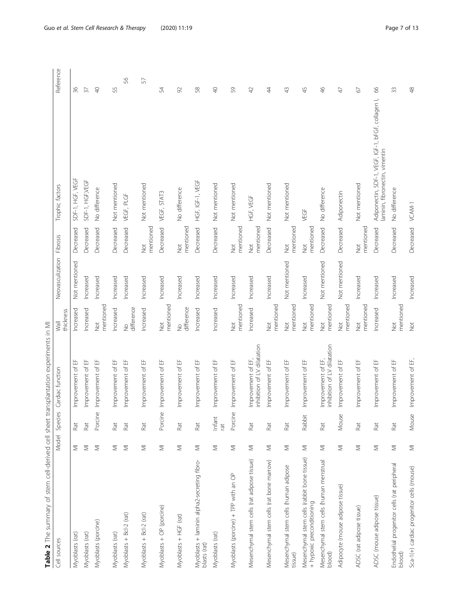| مصابيح مستحد والمتواطن والمستخدم والمستخدم والمتواطن                                                                         |
|------------------------------------------------------------------------------------------------------------------------------|
| j                                                                                                                            |
|                                                                                                                              |
| - Call Context of Call Context of Call Context of Call Context of Call Context of Call Context of Ca<br>うこり ファニリワー<br>I<br>j |
| こりりつ                                                                                                                         |
| I<br>ı                                                                                                                       |
| ľ<br>ï<br>ŀ                                                                                                                  |

<span id="page-6-0"></span>

| J<br>22111111                                                            |                   |               | コニュニン<br>$\frac{1}{2}$                            |                             |                  |                                            |                                                                                      |                 |
|--------------------------------------------------------------------------|-------------------|---------------|---------------------------------------------------|-----------------------------|------------------|--------------------------------------------|--------------------------------------------------------------------------------------|-----------------|
| Cell sources                                                             | Model             | Species       | Cardiac function                                  | thickness<br><b>Mall</b>    | Neovasculization | Fibrosis                                   | Trophic factors                                                                      | Reference       |
| Myoblasts (rat)                                                          | ₹                 | Rat           | 岀<br>Improvement of                               | ncreased                    | Not mentioned    | Decreased                                  | SDF-1, HGF, VEGF                                                                     | 36              |
| Myoblasts (rat)                                                          | Σ                 | Rat           | 岀<br>Improvement of                               | Increased                   | Increased        | Decreased                                  | SDF-1, HGF, VEGF                                                                     | $\overline{57}$ |
| Myoblasts (porcine)                                                      | $\overline{\geq}$ | Porcine       | $\stackrel{\sqcup}{\sqcup}$<br>Improvement of     | mentioned<br><b>Not</b>     | Increased        | Decreased                                  | No difference                                                                        | $\ominus$       |
| Myoblasts (rat)                                                          | Σ                 | Rat           | 岀<br>Improvement of                               | Increased                   | Increased        | Decreased                                  | Not mentioned                                                                        | 55              |
| Myoblasts + Bcl-2 (rat)                                                  | $\overline{\geq}$ | Rat           | $\stackrel{\sqcup}{\sqcup}$<br>Improvement of     | difference<br>$\frac{1}{2}$ | Increased        | Decreased                                  | VEGF, PLGF                                                                           | 56              |
| Myoblasts + Bcl-2 (rat)                                                  | Σ                 | Rat           | 岀<br>Improvement of                               | Increased                   | Increased        | mentioned<br>Not                           | Not mentioned                                                                        | 57              |
| Myoblasts + OP (porcine)                                                 | Σ                 | Porcine       | 뚭<br>Improvement of                               | mentioned<br>Not            | Increased        | Decreased                                  | VEGF, STAT3                                                                          | 54              |
| Myoblasts + HGF (rat)                                                    | Σ                 | Rat           | 岀<br>Improvement of                               | difference<br>$\frac{1}{2}$ | Increased        | mentioned<br>Not                           | No difference                                                                        | $\Im$           |
| Myoblasts + laminin alpha2-secreting fibro-<br>blasts (rat)              | Σ                 | Rat           | 岀<br>Improvement of                               | Increased                   | Increased        | Decreased                                  | HGF, IGF-1, VEGF                                                                     | $58$            |
| Myoblasts (rat)                                                          | $\overline{\geq}$ | Infant<br>rat | Improvement of EF                                 | Increased                   | Increased        | Decreased                                  | Not mentioned                                                                        | $\overline{P}$  |
| Myoblasts (porcine) + TPP with an OP                                     | $\overline{\geq}$ | Porcine       | 岀<br>Improvement of                               | mentioned<br><b>SN</b>      | Increased        | mentioned<br>Not                           | Not mentioned                                                                        | 59              |
| Mesenchymal stem cells (rat adipose tissue)                              | Σ                 | Rat           | inhibition of LV dilatation<br>Improvement of EF, | Increased                   | Increased        | mentioned<br>Not                           | HGF, VEGF                                                                            | $42$            |
| Mesenchymal stem cells (rat bone marrow)                                 | Σ                 | Rat           | ₩<br>Improvement of                               | mentioned<br><b>Not</b>     | Increased        | Decreased                                  | Not mentioned                                                                        | $\ddot{4}$      |
| Mesenchymal stem cells (human adipose<br>tissue)                         | Σ                 | Rat           | 岀<br>Improvement of                               | mentioned<br><b>Not</b>     | Not mentioned    | mentioned<br>$\stackrel{\text{tot}}{\geq}$ | Not mentioned                                                                        | 43              |
| Mesenchymal stem cells (rabbit bone tissue)<br>+ hypoxic preconditioning | Σ                 | Rabbit        | Improvement of EF                                 | mentioned<br><b>Z</b>       | Increased        | mentioned<br>Not                           | VEGF                                                                                 | $\overline{4}$  |
| Mesenchymal stem cells (human menstrual<br>blood)                        | $\overline{\geq}$ | Rat           | inhibition of LV dilatation<br>Improvement of EF, | mentioned<br>Not            | Not mentioned    | Decreased                                  | No difference                                                                        | $\frac{1}{2}$   |
| Adipocyte (mouse adipose tissue)                                         | $\overline{\leq}$ | Mouse         | Improvement of EF                                 | mentioned<br><b>Not</b>     | Not mentioned    | Decreased                                  | Adiponectin                                                                          | $\overline{4}$  |
| ADSC (rat adipose tissue)                                                | Σ                 | Rat           | $\frac{\mu}{\ln 2}$<br>Improvement of             | mentioned<br><b>b</b>       | Increased        | mentioned<br>$\frac{1}{2}$                 | Not mentioned                                                                        | 67              |
| ADSC (mouse adipose tissue)                                              | $\overline{\geq}$ | Rat           | 岀<br>Improvement of                               | Increased                   | Increased        | Decreased                                  | Adiponectin, SDF-1, VEGF, IGF-1, bFGF, collagen I,<br>laminin, fibronectin, vimentin | $\otimes$       |
| Endothelial progenitor cells (rat peripheral<br>blood)                   | $\overline{\geq}$ | Rat           | Improvement of EF                                 | mentioned<br>$\frac{1}{2}$  | Increased        | Decreased                                  | No difference                                                                        | 33              |
| Sca-1(+) cardiac progenitor cells (mouse)                                | $\overline{\leq}$ | Mouse         | Improvement of EF,                                | $\frac{1}{2}$               | Increased        | Decreased                                  | VCAM-1                                                                               | $\frac{8}{4}$   |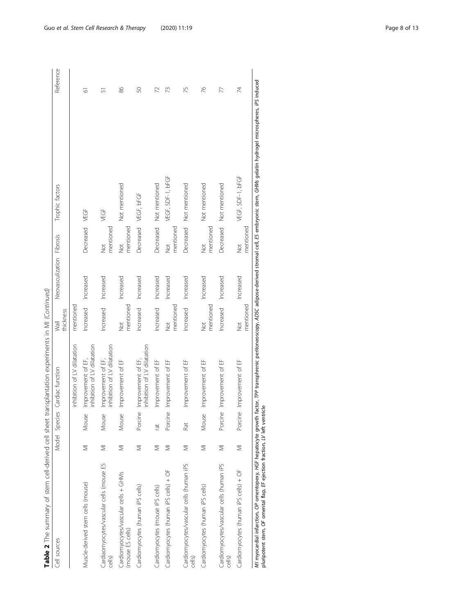| $\left(\right)$      |
|----------------------|
|                      |
|                      |
|                      |
|                      |
|                      |
|                      |
|                      |
|                      |
|                      |
|                      |
|                      |
|                      |
|                      |
|                      |
| j                    |
|                      |
|                      |
|                      |
|                      |
|                      |
|                      |
| :                    |
| 5<br>-<br>-          |
|                      |
| j                    |
|                      |
|                      |
| うこり フリーミ             |
| Î                    |
|                      |
|                      |
| .<br>.<br>.<br>.     |
|                      |
|                      |
|                      |
| うりこり ニー<br>i         |
|                      |
|                      |
|                      |
|                      |
| リンコ                  |
|                      |
| )                    |
|                      |
|                      |
|                      |
|                      |
|                      |
| ĺ                    |
| J                    |
|                      |
| Ì                    |
|                      |
| able 2 lh $\epsilon$ |
|                      |
|                      |
| l                    |
|                      |

| Table 2 The summary of stem cell-derived cell sheet transplantation experiments in MI (Continued) |                          |               |                                                   |                            |                           |                            |                                                                                                                                                                                                               |           |
|---------------------------------------------------------------------------------------------------|--------------------------|---------------|---------------------------------------------------|----------------------------|---------------------------|----------------------------|---------------------------------------------------------------------------------------------------------------------------------------------------------------------------------------------------------------|-----------|
| Cell sources                                                                                      |                          | Model Species | Cardiac function                                  | thickness<br>Wall          | Neovasculization Fibrosis |                            | Trophic factors                                                                                                                                                                                               | Reference |
|                                                                                                   |                          |               | inhibition of LV dilatation                       | mentioned                  |                           |                            |                                                                                                                                                                                                               |           |
| Muscle-derived stem cells (mouse)                                                                 | ₹                        | Mouse         | inhibition of LV dilatation<br>Improvement of EF, | Increased                  | Increased                 | Decreased VEGF             |                                                                                                                                                                                                               | 61        |
| Cardiaomyocytes/vascular cells (mouse ES<br>cells)                                                | $\overline{\ge}$         | Mouse         | inhibition of LV dilatation<br>Improvement of EF, | Increased                  | Increased                 | mentioned<br>$\frac{1}{2}$ | VEGF                                                                                                                                                                                                          | 5         |
| Cardiomyocytes/vascular cells + GHMs<br>(mouse ES cells)                                          | $\overline{\ge}$         | Mouse         | Improvement of EF                                 | mentioned<br>$\frac{1}{2}$ | Increased                 | mentioned<br><b>S</b>      | Not mentioned                                                                                                                                                                                                 | 86        |
| Cardiomyocytes (human iPS cells)                                                                  | $\overline{\ge}$         | Porcine       | inhibition of LV dilatation<br>Improvement of EF, | Increased                  | Increased                 | Decreased VEGF, bFGF       |                                                                                                                                                                                                               | S         |
| Cardiomyocytes (mouse iPS cells)                                                                  | ₹                        | rat           | Improvement of EF                                 | Increased                  | Increased                 |                            | Decreased Not mentioned                                                                                                                                                                                       | 72        |
| Cardiomyocytes (human iPS cells) + OF                                                             | ₹                        | Porcine       | Improvement of EF                                 | mentioned<br><b>Not</b>    | Increased                 | mentioned<br>ğ             | VEGF, SDF-1, bFGF                                                                                                                                                                                             | 73        |
| Cardiomyocytes/vascular cells (human iPS<br>cells)                                                | $\overline{\overline{}}$ | Rat           | Improvement of EF                                 | Increased                  | Increased                 |                            | Decreased Not mentioned                                                                                                                                                                                       | 75        |
| Cardiomyocytes (human iPS cells)                                                                  | $\overline{\ge}$         | Mouse         | Improvement of EF                                 | mentioned<br>$\frac{1}{2}$ | Increased                 | mentioned<br><b>S</b>      | Not mentioned                                                                                                                                                                                                 | 76        |
| Cardiomyocytes/vascular cells (human iPS<br>cells)                                                | $\overline{\ge}$         | Porcine       | Improvement of EF                                 | Increased                  | Increased                 |                            | Decreased Not mentioned                                                                                                                                                                                       | 77        |
| Cardiomyocytes (human iPS cells) + OF                                                             | $\overline{\ge}$         | Porcine       | Improvement of EF                                 | mentioned<br>$\frac{1}{2}$ | Increased                 | mentioned<br>Not           | VEGF, SDF-1, bFGF                                                                                                                                                                                             | 74        |
| pluripotent stem, OF omental flap, EF ejection fraction, LV left ventricle                        |                          |               |                                                   |                            |                           |                            | MI myocardial infarction, OP omentopexy, HGF hepatocyfe growth factor, TPP transphrenic peritoneoscopy, ADSC adipose-derived stromal cell, ES embryonic stem, GHMs gelatin hydrogel microspheres, IPS induced |           |

Guo et al. Stem Cell Research & Therapy (2020) 11:19 eras and the set of the Page 8 of 13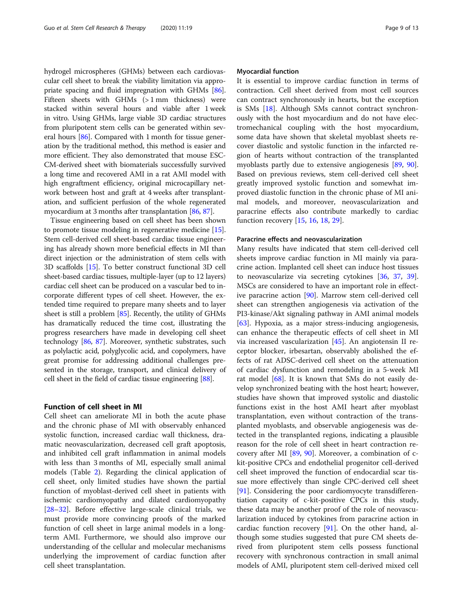hydrogel microspheres (GHMs) between each cardiovascular cell sheet to break the viability limitation via appropriate spacing and fluid impregnation with GHMs [[86](#page-12-0)]. Fifteen sheets with GHMs (> 1 mm thickness) were stacked within several hours and viable after 1 week in vitro. Using GHMs, large viable 3D cardiac structures from pluripotent stem cells can be generated within several hours [[86](#page-12-0)]. Compared with 1 month for tissue generation by the traditional method, this method is easier and more efficient. They also demonstrated that mouse ESC-CM-derived sheet with biomaterials successfully survived a long time and recovered AMI in a rat AMI model with high engraftment efficiency, original microcapillary network between host and graft at 4 weeks after transplantation, and sufficient perfusion of the whole regenerated myocardium at 3 months after transplantation [[86](#page-12-0), [87\]](#page-12-0).

Tissue engineering based on cell sheet has been shown to promote tissue modeling in regenerative medicine [[15](#page-10-0)]. Stem cell-derived cell sheet-based cardiac tissue engineering has already shown more beneficial effects in MI than direct injection or the administration of stem cells with 3D scaffolds [[15](#page-10-0)]. To better construct functional 3D cell sheet-based cardiac tissues, multiple-layer (up to 12 layers) cardiac cell sheet can be produced on a vascular bed to incorporate different types of cell sheet. However, the extended time required to prepare many sheets and to layer sheet is still a problem [[85](#page-12-0)]. Recently, the utility of GHMs has dramatically reduced the time cost, illustrating the progress researchers have made in developing cell sheet technology [\[86,](#page-12-0) [87\]](#page-12-0). Moreover, synthetic substrates, such as polylactic acid, polyglycolic acid, and copolymers, have great promise for addressing additional challenges presented in the storage, transport, and clinical delivery of cell sheet in the field of cardiac tissue engineering [[88](#page-12-0)].

#### Function of cell sheet in MI

Cell sheet can ameliorate MI in both the acute phase and the chronic phase of MI with observably enhanced systolic function, increased cardiac wall thickness, dramatic neovascularization, decreased cell graft apoptosis, and inhibited cell graft inflammation in animal models with less than 3 months of MI, especially small animal models (Table [2](#page-6-0)). Regarding the clinical application of cell sheet, only limited studies have shown the partial function of myoblast-derived cell sheet in patients with ischemic cardiomyopathy and dilated cardiomyopathy [[28](#page-11-0)–[32](#page-11-0)]. Before effective large-scale clinical trials, we must provide more convincing proofs of the marked function of cell sheet in large animal models in a longterm AMI. Furthermore, we should also improve our understanding of the cellular and molecular mechanisms underlying the improvement of cardiac function after cell sheet transplantation.

#### Myocardial function

It is essential to improve cardiac function in terms of contraction. Cell sheet derived from most cell sources can contract synchronously in hearts, but the exception is SMs [\[18](#page-11-0)]. Although SMs cannot contract synchronously with the host myocardium and do not have electromechanical coupling with the host myocardium, some data have shown that skeletal myoblast sheets recover diastolic and systolic function in the infarcted region of hearts without contraction of the transplanted myoblasts partly due to extensive angiogenesis [[89](#page-12-0), [90](#page-12-0)]. Based on previous reviews, stem cell-derived cell sheet greatly improved systolic function and somewhat improved diastolic function in the chronic phase of MI animal models, and moreover, neovascularization and paracrine effects also contribute markedly to cardiac function recovery [[15](#page-10-0), [16](#page-11-0), [18](#page-11-0), [29](#page-11-0)].

#### Paracrine effects and neovascularization

Many results have indicated that stem cell-derived cell sheets improve cardiac function in MI mainly via paracrine action. Implanted cell sheet can induce host tissues to neovascularize via secreting cytokines [[36](#page-11-0), [37,](#page-11-0) [39](#page-11-0)]. MSCs are considered to have an important role in effective paracrine action [\[90\]](#page-12-0). Marrow stem cell-derived cell sheet can strengthen angiogenesis via activation of the PI3-kinase/Akt signaling pathway in AMI animal models [[63\]](#page-12-0). Hypoxia, as a major stress-inducing angiogenesis, can enhance the therapeutic effects of cell sheet in MI via increased vascularization [\[45\]](#page-11-0). An angiotensin II receptor blocker, irbesartan, observably abolished the effects of rat ADSC-derived cell sheet on the attenuation of cardiac dysfunction and remodeling in a 5-week MI rat model [[68\]](#page-12-0). It is known that SMs do not easily develop synchronized beating with the host heart; however, studies have shown that improved systolic and diastolic functions exist in the host AMI heart after myoblast transplantation, even without contraction of the transplanted myoblasts, and observable angiogenesis was detected in the transplanted regions, indicating a plausible reason for the role of cell sheet in heart contraction recovery after MI [\[89,](#page-12-0) [90](#page-12-0)]. Moreover, a combination of ckit-positive CPCs and endothelial progenitor cell-derived cell sheet improved the function of endocardial scar tissue more effectively than single CPC-derived cell sheet [[91\]](#page-12-0). Considering the poor cardiomyocyte transdifferentiation capacity of c-kit-positive CPCs in this study, these data may be another proof of the role of neovascularization induced by cytokines from paracrine action in cardiac function recovery [[91](#page-12-0)]. On the other hand, although some studies suggested that pure CM sheets derived from pluripotent stem cells possess functional recovery with synchronous contraction in small animal models of AMI, pluripotent stem cell-derived mixed cell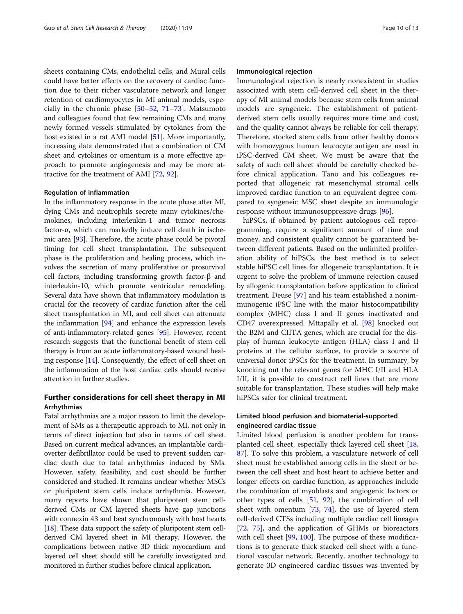sheets containing CMs, endothelial cells, and Mural cells could have better effects on the recovery of cardiac function due to their richer vasculature network and longer retention of cardiomyocytes in MI animal models, especially in the chronic phase [\[50](#page-11-0)–[52,](#page-11-0) [71](#page-12-0)–[73\]](#page-12-0). Matsumoto and colleagues found that few remaining CMs and many newly formed vessels stimulated by cytokines from the host existed in a rat AMI model [[51](#page-11-0)]. More importantly, increasing data demonstrated that a combination of CM sheet and cytokines or omentum is a more effective approach to promote angiogenesis and may be more attractive for the treatment of AMI [[72](#page-12-0), [92](#page-12-0)].

#### Regulation of inflammation

In the inflammatory response in the acute phase after MI, dying CMs and neutrophils secrete many cytokines/chemokines, including interleukin-1 and tumor necrosis factor-α, which can markedly induce cell death in ischemic area [\[93](#page-12-0)]. Therefore, the acute phase could be pivotal timing for cell sheet transplantation. The subsequent phase is the proliferation and healing process, which involves the secretion of many proliferative or prosurvival cell factors, including transforming growth factor-β and interleukin-10, which promote ventricular remodeling. Several data have shown that inflammatory modulation is crucial for the recovery of cardiac function after the cell sheet transplantation in MI, and cell sheet can attenuate the inflammation [[94\]](#page-12-0) and enhance the expression levels of anti-inflammatory-related genes [[95\]](#page-12-0). However, recent research suggests that the functional benefit of stem cell therapy is from an acute inflammatory-based wound healing response [[14](#page-10-0)]. Consequently, the effect of cell sheet on the inflammation of the host cardiac cells should receive attention in further studies.

# Further considerations for cell sheet therapy in MI Arrhythmias

Fatal arrhythmias are a major reason to limit the development of SMs as a therapeutic approach to MI, not only in terms of direct injection but also in terms of cell sheet. Based on current medical advances, an implantable cardioverter defibrillator could be used to prevent sudden cardiac death due to fatal arrhythmias induced by SMs. However, safety, feasibility, and cost should be further considered and studied. It remains unclear whether MSCs or pluripotent stem cells induce arrhythmia. However, many reports have shown that pluripotent stem cellderived CMs or CM layered sheets have gap junctions with connexin 43 and beat synchronously with host hearts [[18](#page-11-0)]. These data support the safety of pluripotent stem cellderived CM layered sheet in MI therapy. However, the complications between native 3D thick myocardium and layered cell sheet should still be carefully investigated and monitored in further studies before clinical application.

#### Immunological rejection

Immunological rejection is nearly nonexistent in studies associated with stem cell-derived cell sheet in the therapy of MI animal models because stem cells from animal models are syngeneic. The establishment of patientderived stem cells usually requires more time and cost, and the quality cannot always be reliable for cell therapy. Therefore, stocked stem cells from other healthy donors with homozygous human leucocyte antigen are used in iPSC-derived CM sheet. We must be aware that the safety of such cell sheet should be carefully checked before clinical application. Tano and his colleagues reported that allogeneic rat mesenchymal stromal cells improved cardiac function to an equivalent degree compared to syngeneic MSC sheet despite an immunologic response without immunosuppressive drugs [\[96\]](#page-12-0).

hiPSCs, if obtained by patient autologous cell reprogramming, require a significant amount of time and money, and consistent quality cannot be guaranteed between different patients. Based on the unlimited proliferation ability of hiPSCs, the best method is to select stable hiPSC cell lines for allogeneic transplantation. It is urgent to solve the problem of immune rejection caused by allogenic transplantation before application to clinical treatment. Deuse [\[97\]](#page-12-0) and his team established a nonimmunogenic iPSC line with the major histocompatibility complex (MHC) class I and II genes inactivated and CD47 overexpressed. Mttapally et al. [[98\]](#page-12-0) knocked out the B2M and CIITA genes, which are crucial for the display of human leukocyte antigen (HLA) class I and II proteins at the cellular surface, to provide a source of universal donor iPSCs for the treatment. In summary, by knocking out the relevant genes for MHC I/II and HLA I/II, it is possible to construct cell lines that are more suitable for transplantation. These studies will help make hiPSCs safer for clinical treatment.

# Limited blood perfusion and biomaterial-supported engineered cardiac tissue

Limited blood perfusion is another problem for transplanted cell sheet, especially thick layered cell sheet [[18](#page-11-0), [87\]](#page-12-0). To solve this problem, a vasculature network of cell sheet must be established among cells in the sheet or between the cell sheet and host heart to achieve better and longer effects on cardiac function, as approaches include the combination of myoblasts and angiogenic factors or other types of cells [\[51,](#page-11-0) [92](#page-12-0)], the combination of cell sheet with omentum [[73](#page-12-0), [74](#page-12-0)], the use of layered stem cell-derived CTSs including multiple cardiac cell lineages [[72,](#page-12-0) [75\]](#page-12-0), and the application of GHMs or bioreactors with cell sheet [\[99](#page-12-0), [100](#page-12-0)]. The purpose of these modifications is to generate thick stacked cell sheet with a functional vascular network. Recently, another technology to generate 3D engineered cardiac tissues was invented by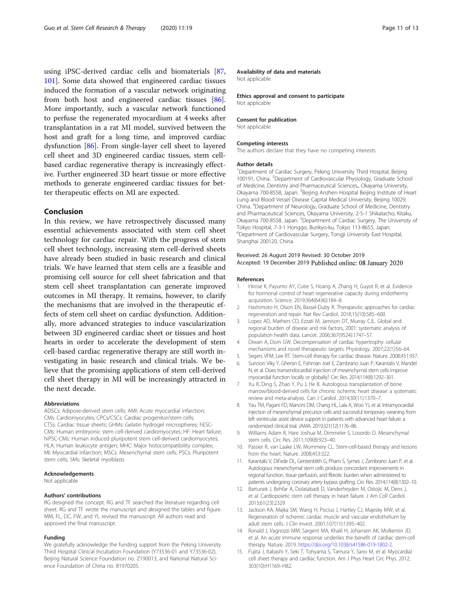<span id="page-10-0"></span>using iPSC-derived cardiac cells and biomaterials [[87](#page-12-0), [101](#page-12-0)]. Some data showed that engineered cardiac tissues induced the formation of a vascular network originating from both host and engineered cardiac tissues [\[86](#page-12-0)]. More importantly, such a vascular network functioned to perfuse the regenerated myocardium at 4 weeks after transplantation in a rat MI model, survived between the host and graft for a long time, and improved cardiac dysfunction [\[86](#page-12-0)]. From single-layer cell sheet to layered cell sheet and 3D engineered cardiac tissues, stem cellbased cardiac regenerative therapy is increasingly effective. Further engineered 3D heart tissue or more effective methods to generate engineered cardiac tissues for better therapeutic effects on MI are expected.

## Conclusion

In this review, we have retrospectively discussed many essential achievements associated with stem cell sheet technology for cardiac repair. With the progress of stem cell sheet technology, increasing stem cell-derived sheets have already been studied in basic research and clinical trials. We have learned that stem cells are a feasible and promising cell source for cell sheet fabrication and that stem cell sheet transplantation can generate improved outcomes in MI therapy. It remains, however, to clarify the mechanisms that are involved in the therapeutic effects of stem cell sheet on cardiac dysfunction. Additionally, more advanced strategies to induce vascularization between 3D engineered cardiac sheet or tissues and host hearts in order to accelerate the development of stem cell-based cardiac regenerative therapy are still worth investigating in basic research and clinical trials. We believe that the promising applications of stem cell-derived cell sheet therapy in MI will be increasingly attracted in the next decade.

#### Abbreviations

ADSCs: Adipose-derived stem cells; AMI: Acute myocardial infarction; CMs: Cardiomyocytes; CPCs/CSCs: Cardiac progenitor/stem cells; CTSs: Cardiac tissue sheets; GHMs: Gelatin hydrogel microspheres; hESC-CMs: Human embryonic stem cell-derived cardiomyocytes; HF: Heart failure; hiPSC-CMs: Human induced pluripotent stem cell-derived cardiomyocytes; HLA: Human leukocyte antigen; MHC: Major histocompatibility complex; MI: Myocardial infarction; MSCs: Mesenchymal stem cells; PSCs: Pluripotent stem cells; SMs: Skeletal myoblasts

#### Acknowledgements

Not applicable

#### Authors' contributions

RG designed the concept. RG and TF searched the literature regarding cell sheet. RG and TF wrote the manuscript and designed the tables and figure. MM, FL, DC, FW, and YL revised the manuscript. All authors read and approved the final manuscript.

#### Funding

We gratefully acknowledge the funding support from the Peking University Third Hospital Clinical Incubation Foundation (Y73536-01 and Y73536-02), Beijing Natural Science Foundation no. Z190013, and National Natural Science Foundation of China no. 81970205.

#### Availability of data and materials

Not applicable

Ethics approval and consent to participate Not applicable

Consent for publication

Not applicable

#### Competing interests

The authors declare that they have no competing interests.

#### Author details

<sup>1</sup>Department of Cardiac Surgery, Peking University Third Hospital, Beijing 100191, China. <sup>2</sup>Department of Cardiovascular Physiology, Graduate School of Medicine, Dentistry and Pharmaceutical Sciences,, Okayama University, Okayama 700-8558, Japan. <sup>3</sup>Beijing Anzhen Hospital Beijing Institute of Heart Lung and Blood Vessel Disease Capital Medical University, Beijing 10029, China. <sup>4</sup> Department of Neurology, Graduate School of Medicine, Dentistry and Pharmaceutical Sciences, Okayama University, 2-5-1 Shikatacho, Kitaku, Okayama 700-8558, Japan. <sup>5</sup>Department of Cardiac Surgery, The University of Tokyo Hospital, 7-3-1 Honggo, Bunkyo-ku, Tokyo 113-8655, Japan. 6 Department of Cardiovascular Surgery, Tongji University East Hospital, Shanghai 200120, China.

#### Received: 26 August 2019 Revised: 30 October 2019 Accepted: 19 December 2019 Published online: 08 January 2020

#### References

- Hirose K, Payumo AY, Cutie S, Hoang A, Zhang H, Guyot R, et al. Evidence for hormonal control of heart regenerative capacity during endothermy acquisition. Science. 2019;364(6436):184–8.
- 2. Hashimoto H, Olson EN, Bassel-Duby R. Therapeutic approaches for cardiac regeneration and repair. Nat Rev Cardiol. 2018;15(10):585–600.
- 3. Lopez AD, Mathers CD, Ezzati M, Jamison DT, Murray CJL. Global and regional burden of disease and risk factors, 2001: systematic analysis of population health data. Lancet. 2006;367(9524):1747–57.
- 4. Diwan A, Dorn GW. Decompensation of cardiac hypertrophy: cellular mechanisms and novel therapeutic targets. Physiology. 2007;22(1):56–64.
- 5. Segers VFM, Lee RT. Stem-cell therapy for cardiac disease. Nature. 2008;451:937.
- 6. Suncion Viky Y, Ghersin E, Fishman Joel E, Zambrano Juan P, Karantalis V, Mandel N, et al. Does transendocardial injection of mesenchymal stem cells improve myocardial function locally or globally? Circ Res. 2014;114(8):1292–301.
- 7. Xu R, Ding S, Zhao Y, Pu J, He B. Autologous transplantation of bone marrow/blood-derived cells for chronic ischemic heart disease: a systematic review and meta-analysis. Can J Cardiol. 2014;30(11):1370–7.
- 8. Yau TM, Pagani FD, Mancini DM, Chang HL, Lala A, Woo YJ, et al. Intramyocardial injection of mesenchymal precursor cells and successful temporary weaning from left ventricular assist device support in patients with advanced heart failure: a randomized clinical trial. JAMA. 2019;321(12):1176–86.
- 9. Williams Adam R, Hare Joshua M, Dimmeler S, Losordo D. Mesenchymal stem cells. Circ Res. 2011;109(8):923–40.
- 10. Passier R, van Laake LW, Mummery CL. Stem-cell-based therapy and lessons from the heart. Nature. 2008;453:322.
- 11. Karantalis V, DiFede DL, Gerstenblith G, Pham S, Symes J, Zambrano Juan P, et al. Autologous mesenchymal stem cells produce concordant improvements in regional function, tissue perfusion, and fibrotic burden when administered to patients undergoing coronary artery bypass grafting. Circ Res. 2014;114(8):1302–10.
- 12. Bartunek J, Behfar A, Dolatabadi D, Vanderheyden M, Ostojic M, Dens J, et al. Cardiopoietic stem cell therapy in heart failure. J Am Coll Cardiol. 2013;61(23):2329.
- 13. Jackson KA, Majka SM, Wang H, Pocius J, Hartley CJ, Majesky MW, et al. Regeneration of ischemic cardiac muscle and vascular endothelium by adult stem cells. J Clin Invest. 2001;107(11):1395–402.
- 14. Ronald J, Vagnozzi MM, Sargent MA, Khalil H, Johansen AK, Molkentin JD, et al. An acute immune response underlies the benefit of cardiac stem-cell therapy. Nature. 2019. <https://doi.org/10.1038/s41586-019-1802-2>.
- 15. Fujita J, Itabashi Y, Seki T, Tohyama S, Tamura Y, Sano M, et al. Myocardial cell sheet therapy and cardiac function. Am J Phys Heart Circ Phys. 2012; 303(10):H1169–H82.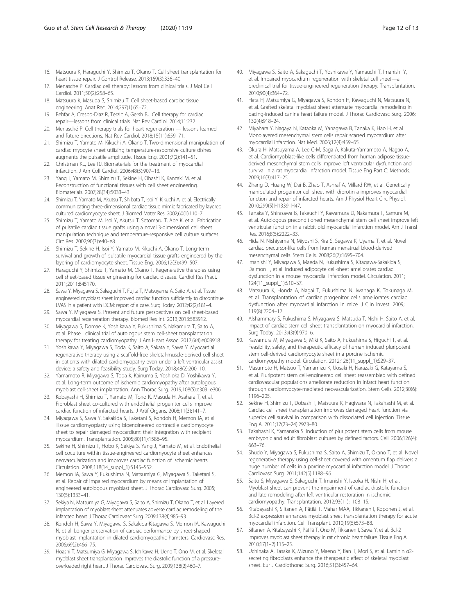- <span id="page-11-0"></span>16. Matsuura K, Haraguchi Y, Shimizu T, Okano T. Cell sheet transplantation for heart tissue repair. J Control Release. 2013;169(3):336–40.
- 17. Menasche P. Cardiac cell therapy: lessons from clinical trials. J Mol Cell Cardiol. 2011;50(2):258–65.
- 18. Matsuura K, Masuda S, Shimizu T. Cell sheet-based cardiac tissue engineering. Anat Rec. 2014;297(1):65–72.
- 19. Behfar A, Crespo-Diaz R, Terzic A, Gersh BJ. Cell therapy for cardiac repair—lessons from clinical trials. Nat Rev Cardiol. 2014;11:232.
- 20. Menasché P. Cell therapy trials for heart regeneration lessons learned and future directions. Nat Rev Cardiol. 2018;15(11):659–71.
- 21. Shimizu T, Yamato M, Kikuchi A, Okano T. Two-dimensional manipulation of cardiac myocyte sheet utilizing temperature-responsive culture dishes augments the pulsatile amplitude. Tissue Eng. 2001;7(2):141–51.
- 22. Christman KL, Lee RJ. Biomaterials for the treatment of myocardial infarction. J Am Coll Cardiol. 2006;48(5):907–13.
- 23. Yang J, Yamato M, Shimizu T, Sekine H, Ohashi K, Kanzaki M, et al. Reconstruction of functional tissues with cell sheet engineering. Biomaterials. 2007;28(34):5033–43.
- 24. Shimizu T, Yamato M, Akutsu T, Shibata T, Isoi Y, Kikuchi A, et al. Electrically communicating three-dimensional cardiac tissue mimic fabricated by layered cultured cardiomyocyte sheet. J Biomed Mater Res. 2002;60(1):110–7.
- 25. Shimizu T, Yamato M, Isoi Y, Akutsu T, Setomaru T, Abe K, et al. Fabrication of pulsatile cardiac tissue grafts using a novel 3-dimensional cell sheet manipulation technique and temperature-responsive cell culture surfaces. Circ Res. 2002;90(3):e40–e8.
- 26. Shimizu T, Sekine H, Isoi Y, Yamato M, Kikuchi A, Okano T. Long-term survival and growth of pulsatile myocardial tissue grafts engineered by the layering of cardiomyocyte sheet. Tissue Eng. 2006;12(3):499–507.
- 27. Haraguchi Y, Shimizu T, Yamato M, Okano T. Regenerative therapies using cell sheet-based tissue engineering for cardiac disease. Cardiol Res Pract. 2011;2011:845170.
- 28. Sawa Y, Miyagawa S, Sakaguchi T, Fujita T, Matsuyama A, Saito A, et al. Tissue engineered myoblast sheet improved cardiac function sufficiently to discontinue LVAS in a patient with DCM: report of a case. Surg Today. 2012;42(2):181–4.
- 29. Sawa Y, Miyagawa S. Present and future perspectives on cell sheet-based myocardial regeneration therapy. Biomed Res Int. 2013;2013:583912.
- 30. Miyagawa S, Domae K, Yoshikawa Y, Fukushima S, Nakamura T, Saito A, et al. Phase I clinical trial of autologous stem cell-sheet transplantation therapy for treating cardiomyopathy. J Am Heart Assoc. 2017;6(4):e003918.
- 31. Yoshikawa Y, Miyagawa S, Toda K, Saito A, Sakata Y, Sawa Y. Myocardial regenerative therapy using a scaffold-free skeletal-muscle-derived cell sheet in patients with dilated cardiomyopathy even under a left ventricular assist device: a safety and feasibility study. Surg Today. 2018;48(2):200–10.
- 32. Yamamoto R, Miyagawa S, Toda K, Kainuma S, Yoshioka D, Yoshikawa Y, et al. Long-term outcome of ischemic cardiomyopathy after autologous myoblast cell-sheet implantation. Ann Thorac Surg. 2019;108(5):e303–e306.
- 33. Kobayashi H, Shimizu T, Yamato M, Tono K, Masuda H, Asahara T, et al. Fibroblast sheet co-cultured with endothelial progenitor cells improve cardiac function of infarcted hearts. J Artif Organs. 2008;11(3):141–7.
- 34. Miyagawa S, Sawa Y, Sakakida S, Taketani S, Kondoh H, Memon IA, et al. Tissue cardiomyoplasty using bioengineered contractile cardiomyocyte sheet to repair damaged myocardium: their integration with recipient myocardium. Transplantation. 2005;80(11):1586–95.
- 35. Sekine H, Shimizu T, Hobo K, Sekiya S, Yang J, Yamato M, et al. Endothelial cell coculture within tissue-engineered cardiomyocyte sheet enhances neovascularization and improves cardiac function of ischemic hearts. Circulation. 2008;118(14\_suppl\_1):S145–S52.
- 36. Memon IA, Sawa Y, Fukushima N, Matsumiya G, Miyagawa S, Taketani S, et al. Repair of impaired myocardium by means of implantation of engineered autologous myoblast sheet. J Thorac Cardiovasc Surg. 2005; 130(5):1333–41.
- 37. Sekiya N, Matsumiya G, Miyagawa S, Saito A, Shimizu T, Okano T, et al. Layered implantation of myoblast sheet attenuates adverse cardiac remodeling of the infarcted heart. J Thorac Cardiovasc Surg. 2009;138(4):985–93.
- 38. Kondoh H, Sawa Y, Miyagawa S, Sakakida-Kitagawa S, Memon IA, Kawaguchi N, et al. Longer preservation of cardiac performance by sheet-shaped myoblast implantation in dilated cardiomyopathic hamsters. Cardiovasc Res. 2006;69(2):466–75.
- 39. Hoashi T, Matsumiya G, Miyagawa S, Ichikawa H, Ueno T, Ono M, et al. Skeletal myoblast sheet transplantation improves the diastolic function of a pressureoverloaded right heart. J Thorac Cardiovasc Surg. 2009;138(2):460–7.
- 40. Miyagawa S, Saito A, Sakaguchi T, Yoshikawa Y, Yamauchi T, Imanishi Y, et al. Impaired myocardium regeneration with skeletal cell sheet—a preclinical trial for tissue-engineered regeneration therapy. Transplantation. 2010;90(4):364–72.
- 41. Hata H, Matsumiya G, Miyagawa S, Kondoh H, Kawaguchi N, Matsuura N, et al. Grafted skeletal myoblast sheet attenuate myocardial remodeling in pacing-induced canine heart failure model. J Thorac Cardiovasc Surg. 2006; 132(4):918–24.
- 42. Miyahara Y, Nagaya N, Kataoka M, Yanagawa B, Tanaka K, Hao H, et al. Monolayered mesenchymal stem cells repair scarred myocardium after myocardial infarction. Nat Med. 2006;12(4):459–65.
- 43. Okura H, Matsuyama A, Lee C-M, Saga A, Kakuta-Yamamoto A, Nagao A, et al. Cardiomyoblast-like cells differentiated from human adipose tissuederived mesenchymal stem cells improve left ventricular dysfunction and survival in a rat myocardial infarction model. Tissue Eng Part C: Methods. 2009;16(3):417–25.
- 44. Zhang D, Huang W, Dai B, Zhao T, Ashraf A, Millard RW, et al. Genetically manipulated progenitor cell sheet with diprotin a improves myocardial function and repair of infarcted hearts. Am J Physiol Heart Circ Physiol. 2010;299(5):H1339–H47.
- 45. Tanaka Y, Shirasawa B, Takeuchi Y, Kawamura D, Nakamura T, Samura M, et al. Autologous preconditioned mesenchymal stem cell sheet improve left ventricular function in a rabbit old myocardial infarction model. Am J Transl Res. 2016;8(5):2222–33.
- 46. Hida N, Nishiyama N, Miyoshi S, Kira S, Segawa K, Uyama T, et al. Novel cardiac precursor-like cells from human menstrual blood-derived mesenchymal cells. Stem Cells. 2008;26(7):1695–704.
- 47. Imanishi Y, Miyagawa S, Maeda N, Fukushima S, Kitagawa-Sakakida S, Daimon T, et al. Induced adipocyte cell-sheet ameliorates cardiac dysfunction in a mouse myocardial infarction model. Circulation. 2011; 124(11\_suppl\_1):S10–S7.
- Matsuura K, Honda A, Nagai T, Fukushima N, Iwanaga K, Tokunaga M, et al. Transplantation of cardiac progenitor cells ameliorates cardiac dysfunction after myocardial infarction in mice. J Clin Invest. 2009; 119(8):2204–17.
- 49. Alshammary S, Fukushima S, Miyagawa S, Matsuda T, Nishi H, Saito A, et al. Impact of cardiac stem cell sheet transplantation on myocardial infarction. Surg Today. 2013;43(9):970–6.
- Kawamura M, Miyagawa S, Miki K, Saito A, Fukushima S, Higuchi T, et al. Feasibility, safety, and therapeutic efficacy of human induced pluripotent stem cell-derived cardiomyocyte sheet in a porcine ischemic cardiomyopathy model. Circulation. 2012;126(11\_suppl\_1):S29–37.
- 51. Masumoto H, Matsuo T, Yamamizu K, Uosaki H, Narazaki G, Katayama S, et al. Pluripotent stem cell-engineered cell sheet reassembled with defined cardiovascular populations ameliorate reduction in infarct heart function through cardiomyocyte-mediated neovascularization. Stem Cells. 2012;30(6): 1196–205.
- 52. Sekine H, Shimizu T, Dobashi I, Matsuura K, Hagiwara N, Takahashi M, et al. Cardiac cell sheet transplantation improves damaged heart function via superior cell survival in comparison with dissociated cell injection. Tissue Eng A. 2011;17(23–24):2973–80.
- 53. Takahashi K, Yamanaka S. Induction of pluripotent stem cells from mouse embryonic and adult fibroblast cultures by defined factors. Cell. 2006;126(4): 663–76.
- 54. Shudo Y, Miyagawa S, Fukushima S, Saito A, Shimizu T, Okano T, et al. Novel regenerative therapy using cell-sheet covered with omentum flap delivers a huge number of cells in a porcine myocardial infarction model. J Thorac Cardiovasc Surg. 2011;142(5):1188–96.
- 55. Saito S, Miyagawa S, Sakaguchi T, Imanishi Y, Iseoka H, Nishi H, et al. Myoblast sheet can prevent the impairment of cardiac diastolic function and late remodeling after left ventricular restoration in ischemic cardiomyopathy. Transplantation. 2012;93(11):1108–15.
- 56. Kitabayashi K, Siltanen A, Pätilä T, Mahar MAA, Tikkanen I, Koponen J, et al. Bcl-2 expression enhances myoblast sheet transplantation therapy for acute myocardial infarction. Cell Transplant. 2010;19(5):573–88.
- 57. Siltanen A, Kitabayashi K, Pätilä T, Ono M, Tikkanen I, Sawa Y, et al. Bcl-2 improves myoblast sheet therapy in rat chronic heart failure. Tissue Eng A. 2010;17(1–2):115–25.
- 58. Uchinaka A, Tasaka K, Mizuno Y, Maeno Y, Ban T, Mori S, et al. Laminin α2 secreting fibroblasts enhance the therapeutic effect of skeletal myoblast sheet. Eur J Cardiothorac Surg. 2016;51(3):457–64.